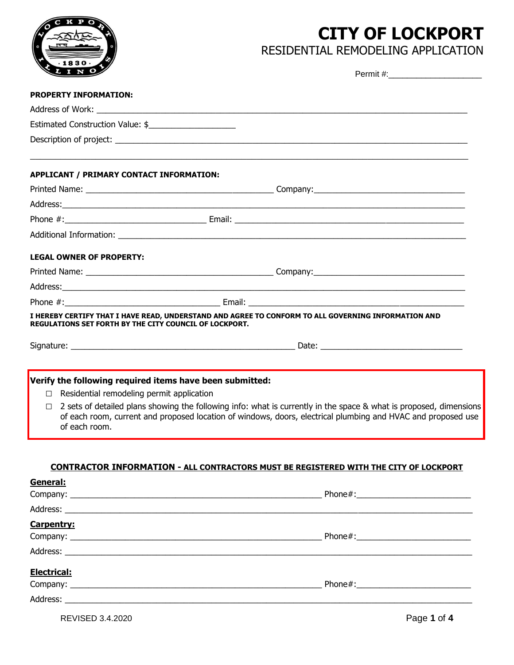# **CITY OF LOCKPORT**



RESIDENTIAL REMODELING APPLICATION

| LINO                                                                                                                             |                                                                                                                                                                                                                                    |
|----------------------------------------------------------------------------------------------------------------------------------|------------------------------------------------------------------------------------------------------------------------------------------------------------------------------------------------------------------------------------|
| <b>PROPERTY INFORMATION:</b>                                                                                                     |                                                                                                                                                                                                                                    |
|                                                                                                                                  |                                                                                                                                                                                                                                    |
| Estimated Construction Value: \$                                                                                                 |                                                                                                                                                                                                                                    |
|                                                                                                                                  |                                                                                                                                                                                                                                    |
| APPLICANT / PRIMARY CONTACT INFORMATION:                                                                                         |                                                                                                                                                                                                                                    |
|                                                                                                                                  |                                                                                                                                                                                                                                    |
|                                                                                                                                  |                                                                                                                                                                                                                                    |
|                                                                                                                                  |                                                                                                                                                                                                                                    |
|                                                                                                                                  |                                                                                                                                                                                                                                    |
| <b>LEGAL OWNER OF PROPERTY:</b>                                                                                                  |                                                                                                                                                                                                                                    |
|                                                                                                                                  |                                                                                                                                                                                                                                    |
|                                                                                                                                  |                                                                                                                                                                                                                                    |
|                                                                                                                                  |                                                                                                                                                                                                                                    |
| <b>REGULATIONS SET FORTH BY THE CITY COUNCIL OF LOCKPORT.</b>                                                                    | I HEREBY CERTIFY THAT I HAVE READ, UNDERSTAND AND AGREE TO CONFORM TO ALL GOVERNING INFORMATION AND                                                                                                                                |
|                                                                                                                                  |                                                                                                                                                                                                                                    |
| Verify the following required items have been submitted:<br>Residential remodeling permit application<br>$\Box$<br>of each room. | 2 sets of detailed plans showing the following info: what is currently in the space & what is proposed, dimensions<br>of each room, current and proposed location of windows, doors, electrical plumbing and HVAC and proposed use |
| General:                                                                                                                         | <b>CONTRACTOR INFORMATION - ALL CONTRACTORS MUST BE REGISTERED WITH THE CITY OF LOCKPORT</b>                                                                                                                                       |
|                                                                                                                                  |                                                                                                                                                                                                                                    |
| <b>Carpentry:</b>                                                                                                                |                                                                                                                                                                                                                                    |
|                                                                                                                                  |                                                                                                                                                                                                                                    |
| Electrical:                                                                                                                      |                                                                                                                                                                                                                                    |
| Address:                                                                                                                         |                                                                                                                                                                                                                                    |

REVISED 3.4.2020 Page **1** of **4**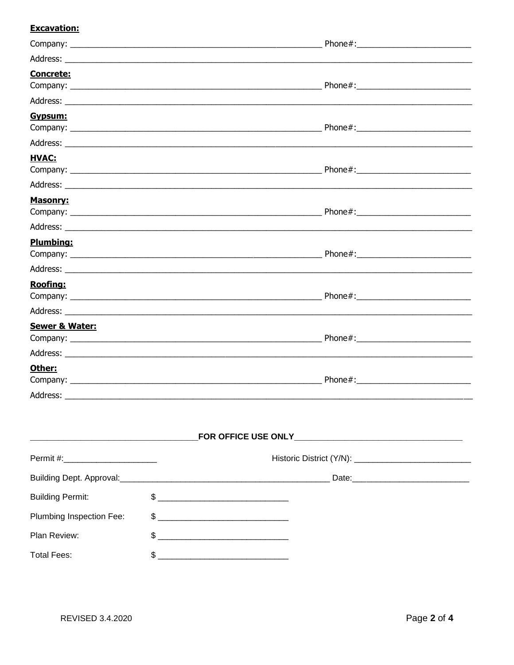#### **Excavation:**

| <b>Concrete:</b> |  |
|------------------|--|
|                  |  |
| Gypsum:          |  |
|                  |  |
| <b>HVAC:</b>     |  |
|                  |  |
| Masonry:         |  |
|                  |  |
| <b>Plumbing:</b> |  |
| <b>Roofing:</b>  |  |
|                  |  |
|                  |  |
| Sewer & Water:   |  |
|                  |  |
| Other:           |  |
|                  |  |

| Permit #:________________________ |  |                |  |  |
|-----------------------------------|--|----------------|--|--|
|                                   |  |                |  |  |
| <b>Building Permit:</b>           |  | $\frac{1}{2}$  |  |  |
| Plumbing Inspection Fee:          |  | $\mathfrak{S}$ |  |  |
| Plan Review:                      |  |                |  |  |
| <b>Total Fees:</b>                |  |                |  |  |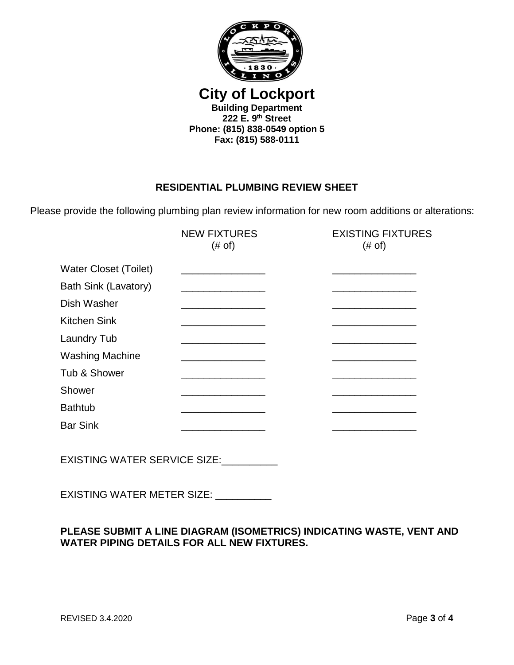

**City of Lockport Building Department 222 E. 9th Street Phone: (815) 838-0549 option 5 Fax: (815) 588-0111**

## **RESIDENTIAL PLUMBING REVIEW SHEET**

Please provide the following plumbing plan review information for new room additions or alterations:

|                                     | <b>NEW FIXTURES</b><br>$(\# \circ f)$            | <b>EXISTING FIXTURES</b><br>(# of) |
|-------------------------------------|--------------------------------------------------|------------------------------------|
| <b>Water Closet (Toilet)</b>        | the control of the control of the control of the |                                    |
| Bath Sink (Lavatory)                |                                                  |                                    |
| Dish Washer                         |                                                  |                                    |
| Kitchen Sink                        |                                                  |                                    |
| Laundry Tub                         |                                                  |                                    |
| <b>Washing Machine</b>              | <u> 1989 - Johann John Stone, mars et al.</u>    |                                    |
| Tub & Shower                        | the control of the control of the control of the |                                    |
| Shower                              |                                                  |                                    |
| <b>Bathtub</b>                      |                                                  |                                    |
| <b>Bar Sink</b>                     |                                                  |                                    |
|                                     |                                                  |                                    |
| <b>EXISTING WATER SERVICE SIZE:</b> |                                                  |                                    |

EXISTING WATER METER SIZE: \_\_\_\_\_\_\_\_\_\_

## **PLEASE SUBMIT A LINE DIAGRAM (ISOMETRICS) INDICATING WASTE, VENT AND WATER PIPING DETAILS FOR ALL NEW FIXTURES.**